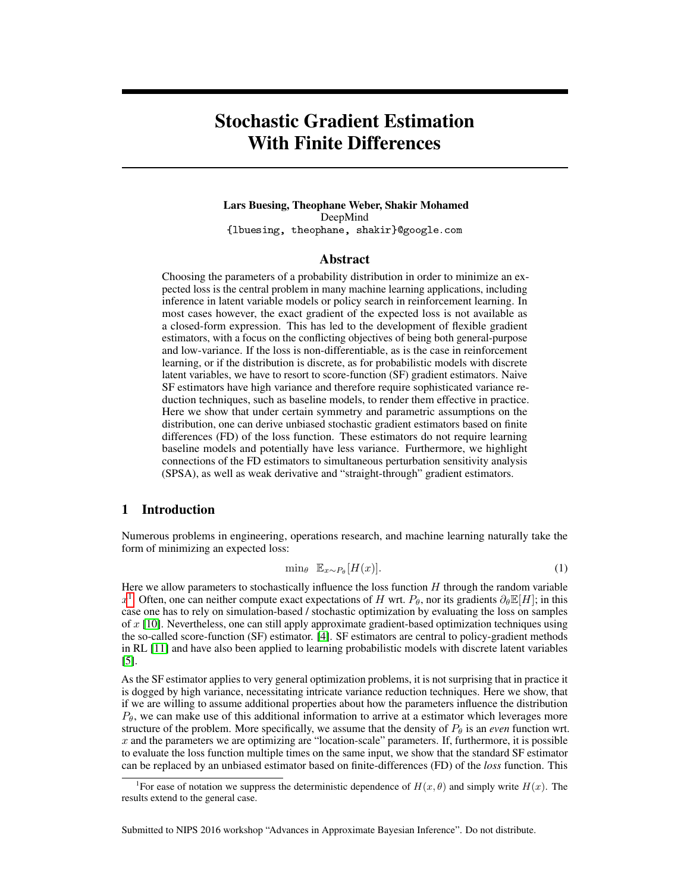# Stochastic Gradient Estimation With Finite Differences

## Lars Buesing, Theophane Weber, Shakir Mohamed DeepMind {lbuesing, theophane, shakir}@google.com

## Abstract

Choosing the parameters of a probability distribution in order to minimize an expected loss is the central problem in many machine learning applications, including inference in latent variable models or policy search in reinforcement learning. In most cases however, the exact gradient of the expected loss is not available as a closed-form expression. This has led to the development of flexible gradient estimators, with a focus on the conflicting objectives of being both general-purpose and low-variance. If the loss is non-differentiable, as is the case in reinforcement learning, or if the distribution is discrete, as for probabilistic models with discrete latent variables, we have to resort to score-function (SF) gradient estimators. Naive SF estimators have high variance and therefore require sophisticated variance reduction techniques, such as baseline models, to render them effective in practice. Here we show that under certain symmetry and parametric assumptions on the distribution, one can derive unbiased stochastic gradient estimators based on finite differences (FD) of the loss function. These estimators do not require learning baseline models and potentially have less variance. Furthermore, we highlight connections of the FD estimators to simultaneous perturbation sensitivity analysis (SPSA), as well as weak derivative and "straight-through" gradient estimators.

# 1 Introduction

Numerous problems in engineering, operations research, and machine learning naturally take the form of minimizing an expected loss:

<span id="page-0-1"></span>
$$
\min_{\theta} \ \mathbb{E}_{x \sim P_{\theta}}[H(x)]. \tag{1}
$$

Here we allow parameters to stochastically influence the loss function  $H$  through the random variable  $x^1$  $x^1$ . Often, one can neither compute exact expectations of H wrt.  $P_\theta$ , nor its gradients  $\partial_\theta \mathbb{E}[H]$ ; in this case one has to rely on simulation-based / stochastic optimization by evaluating the loss on samples of  $x$  [\[10\]](#page-3-0). Nevertheless, one can still apply approximate gradient-based optimization techniques using the so-called score-function (SF) estimator. [\[4\]](#page-3-1). SF estimators are central to policy-gradient methods in RL [\[11\]](#page-3-2) and have also been applied to learning probabilistic models with discrete latent variables [\[5\]](#page-3-3).

As the SF estimator applies to very general optimization problems, it is not surprising that in practice it is dogged by high variance, necessitating intricate variance reduction techniques. Here we show, that if we are willing to assume additional properties about how the parameters influence the distribution  $P_{\theta}$ , we can make use of this additional information to arrive at a estimator which leverages more structure of the problem. More specifically, we assume that the density of  $P_{\theta}$  is an *even* function wrt.  $x$  and the parameters we are optimizing are "location-scale" parameters. If, furthermore, it is possible to evaluate the loss function multiple times on the same input, we show that the standard SF estimator can be replaced by an unbiased estimator based on finite-differences (FD) of the *loss* function. This

Submitted to NIPS 2016 workshop "Advances in Approximate Bayesian Inference". Do not distribute.

<span id="page-0-0"></span><sup>&</sup>lt;sup>1</sup>For ease of notation we suppress the deterministic dependence of  $H(x, \theta)$  and simply write  $H(x)$ . The results extend to the general case.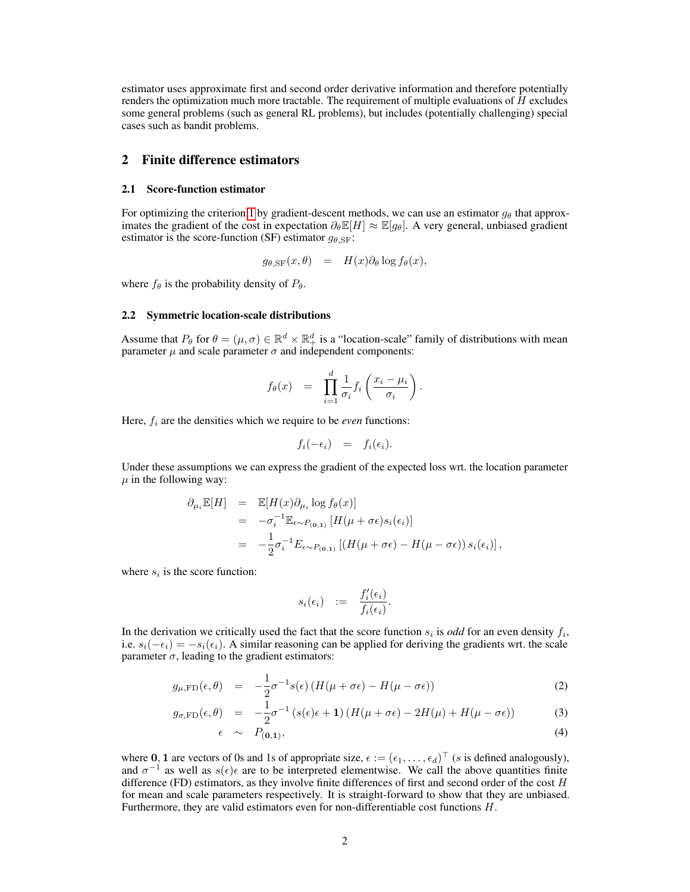estimator uses approximate first and second order derivative information and therefore potentially renders the optimization much more tractable. The requirement of multiple evaluations of  $H$  excludes some general problems (such as general RL problems), but includes (potentially challenging) special cases such as bandit problems.

# 2 Finite difference estimators

#### 2.1 Score-function estimator

For optimizing the criterion [1](#page-0-1) by gradient-descent methods, we can use an estimator  $g_{\theta}$  that approximates the gradient of the cost in expectation  $\partial_{\theta} \mathbb{E}[H] \approx \mathbb{E}[g_{\theta}]$ . A very general, unbiased gradient estimator is the score-function (SF) estimator  $g_{\theta, SF}$ :

$$
g_{\theta,\rm SF}(x,\theta) = H(x)\partial_\theta \log f_\theta(x),
$$

where  $f_{\theta}$  is the probability density of  $P_{\theta}$ .

#### 2.2 Symmetric location-scale distributions

Assume that  $P_\theta$  for  $\theta = (\mu, \sigma) \in \mathbb{R}^d \times \mathbb{R}^d_+$  is a "location-scale" family of distributions with mean parameter  $\mu$  and scale parameter  $\sigma$  and independent components:

$$
f_{\theta}(x) = \prod_{i=1}^{d} \frac{1}{\sigma_i} f_i\left(\frac{x_i - \mu_i}{\sigma_i}\right).
$$

Here,  $f_i$  are the densities which we require to be *even* functions:

$$
f_i(-\epsilon_i) = f_i(\epsilon_i).
$$

Under these assumptions we can express the gradient of the expected loss wrt. the location parameter  $\mu$  in the following way:

$$
\partial_{\mu_i} \mathbb{E}[H] = \mathbb{E}[H(x)\partial_{\mu_i} \log f_{\theta}(x)]
$$
  
\n
$$
= -\sigma_i^{-1} \mathbb{E}_{\epsilon \sim P_{(0,1)}} [H(\mu + \sigma \epsilon)s_i(\epsilon_i)]
$$
  
\n
$$
= -\frac{1}{2}\sigma_i^{-1} E_{\epsilon \sim P_{(0,1)}} [(H(\mu + \sigma \epsilon) - H(\mu - \sigma \epsilon)) s_i(\epsilon_i)],
$$

where  $s_i$  is the score function:

$$
s_i(\epsilon_i) \quad := \quad \frac{f'_i(\epsilon_i)}{f_i(\epsilon_i)}.
$$

In the derivation we critically used the fact that the score function  $s_i$  is *odd* for an even density  $f_i$ , i.e.  $s_i(-\epsilon_i) = -s_i(\epsilon_i)$ . A similar reasoning can be applied for deriving the gradients wrt. the scale parameter  $\sigma$ , leading to the gradient estimators:

<span id="page-1-0"></span>
$$
g_{\mu,\text{FD}}(\epsilon,\theta) = -\frac{1}{2}\sigma^{-1}s(\epsilon)\left(H(\mu+\sigma\epsilon) - H(\mu-\sigma\epsilon)\right)
$$
 (2)

$$
g_{\sigma,\text{FD}}(\epsilon,\theta) = -\frac{1}{2}\sigma^{-1}\left(s(\epsilon)\epsilon + 1\right)\left(H(\mu + \sigma\epsilon) - 2H(\mu) + H(\mu - \sigma\epsilon)\right) \tag{3}
$$

$$
\epsilon \sim P_{(0,1)},\tag{4}
$$

where 0, 1 are vectors of 0s and 1s of appropriate size,  $\epsilon := (\epsilon_1, \dots, \epsilon_d)^\top$  (s is defined analogously), and  $\sigma^{-1}$  as well as  $s(\epsilon)\epsilon$  are to be interpreted elementwise. We call the above quantities finite difference (FD) estimators, as they involve finite differences of first and second order of the cost H for mean and scale parameters respectively. It is straight-forward to show that they are unbiased. Furthermore, they are valid estimators even for non-differentiable cost functions H.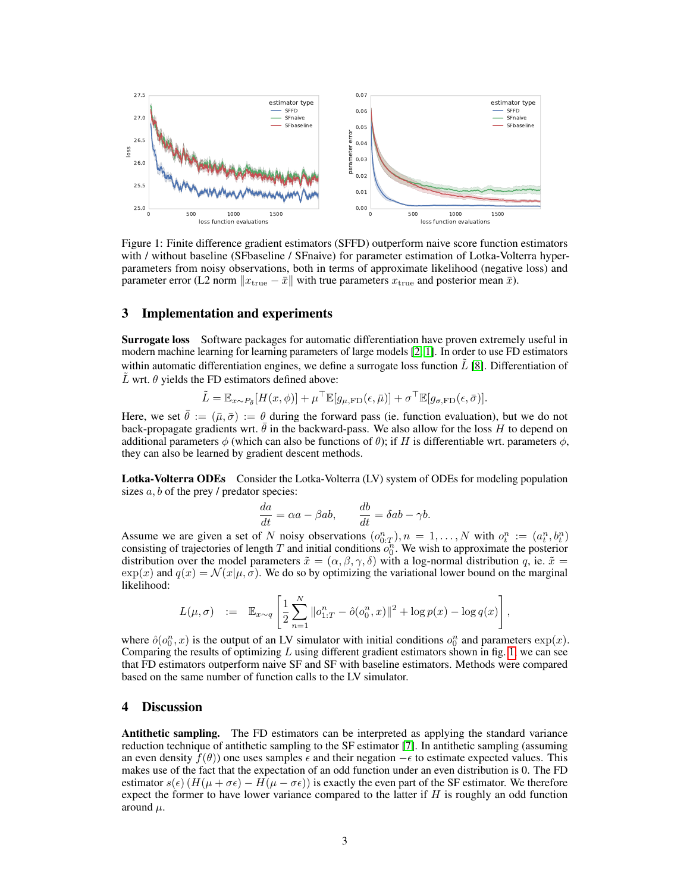

<span id="page-2-0"></span>Figure 1: Finite difference gradient estimators (SFFD) outperform naive score function estimators with / without baseline (SFbaseline / SFnaive) for parameter estimation of Lotka-Volterra hyperparameters from noisy observations, both in terms of approximate likelihood (negative loss) and parameter error (L2 norm  $\|x_{\text{true}} - \bar{x}\|$  with true parameters  $x_{\text{true}}$  and posterior mean  $\bar{x}$ ).

# 3 Implementation and experiments

Surrogate loss Software packages for automatic differentiation have proven extremely useful in modern machine learning for learning parameters of large models [\[2,](#page-3-4) [1\]](#page-3-5). In order to use FD estimators within automatic differentiation engines, we define a surrogate loss function  $\tilde{L}$  [\[8\]](#page-3-6). Differentiation of L wrt.  $\theta$  yields the FD estimators defined above:

$$
\tilde{L} = \mathbb{E}_{x \sim P_{\bar{\theta}}}[H(x,\phi)] + \mu^{\top} \mathbb{E}[g_{\mu,\text{FD}}(\epsilon,\bar{\mu})] + \sigma^{\top} \mathbb{E}[g_{\sigma,\text{FD}}(\epsilon,\bar{\sigma})].
$$

Here, we set  $\theta := (\bar{\mu}, \bar{\sigma}) := \theta$  during the forward pass (ie. function evaluation), but we do not back-propagate gradients wrt.  $\hat{\theta}$  in the backward-pass. We also allow for the loss H to depend on additional parameters  $\phi$  (which can also be functions of  $\theta$ ); if H is differentiable wrt. parameters  $\phi$ , they can also be learned by gradient descent methods.

Lotka-Volterra ODEs Consider the Lotka-Volterra (LV) system of ODEs for modeling population sizes  $a, b$  of the prey  $\prime$  predator species:

$$
\frac{da}{dt} = \alpha a - \beta ab, \qquad \frac{db}{dt} = \delta ab - \gamma b.
$$

Assume we are given a set of N noisy observations  $(o^n_{0:T})$ ,  $n = 1,..., N$  with  $o^n_t := (a^n_t, b^n_t)$ consisting of trajectories of length T and initial conditions  $o_0^n$ . We wish to approximate the posterior distribution over the model parameters  $\tilde{x} = (\alpha, \beta, \gamma, \delta)$  with a log-normal distribution q, ie.  $\tilde{x} =$  $\exp(x)$  and  $q(x) = \mathcal{N}(x|\mu, \sigma)$ . We do so by optimizing the variational lower bound on the marginal likelihood:

$$
L(\mu, \sigma) \quad := \quad \mathbb{E}_{x \sim q} \left[ \frac{1}{2} \sum_{n=1}^{N} \|o_{1:T}^n - \hat{o}(o_0^n, x)\|^2 + \log p(x) - \log q(x) \right],
$$

where  $\hat{o}(o_0^n, x)$  is the output of an LV simulator with initial conditions  $o_0^n$  and parameters  $\exp(x)$ . Comparing the results of optimizing  $L$  using different gradient estimators shown in fig. [1,](#page-2-0) we can see that FD estimators outperform naive SF and SF with baseline estimators. Methods were compared based on the same number of function calls to the LV simulator.

## 4 Discussion

Antithetic sampling. The FD estimators can be interpreted as applying the standard variance reduction technique of antithetic sampling to the SF estimator [\[7\]](#page-3-7). In antithetic sampling (assuming an even density  $f(\theta)$ ) one uses samples  $\epsilon$  and their negation  $-\epsilon$  to estimate expected values. This makes use of the fact that the expectation of an odd function under an even distribution is 0. The FD estimator  $s(\epsilon)$  ( $H(\mu + \sigma \epsilon) - H(\mu - \sigma \epsilon)$ ) is exactly the even part of the SF estimator. We therefore expect the former to have lower variance compared to the latter if  $H$  is roughly an odd function around  $\mu$ .